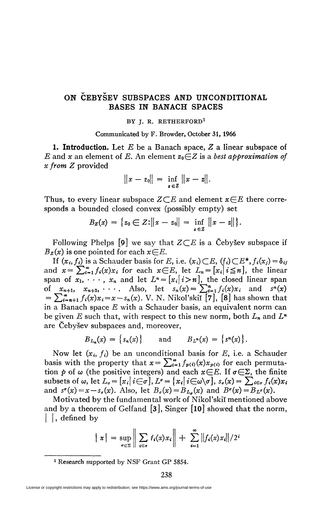## **ON CEBYSEV SÜBSPACES AND UNCONDITIONAL BASES IN BANACH SPACES**

## BY J. R. RETHERFORD<sup>1</sup>

Communicated by F, Browder, October 31, 1966

**1. Introduction.** Let E be a Banach space, *Z* a linear subspace of *E* and *x* an element of *E*. An element  $z_0 \in Z$  is a *best approximation of x from Z* provided

$$
||x-z_0|| = \inf_{z \in Z} ||x-z||.
$$

Thus, to every linear subspace  $Z \subseteq E$  and element  $x \in E$  there corresponds a bounded closed convex (possibly empty) set

$$
B_{\mathbf{Z}}(x) = \{ z_0 \in Z : ||x - z_0|| = \inf_{\mathbf{z} \in \mathbf{Z}} ||x - z|| \}.
$$

Following Phelps  $[9]$  we say that  $Z \subseteq E$  is a Cebysev subspace if  $B_z(x)$  is one pointed for each  $x \in E$ .

If  $(x_i, f_i)$  is a Schauder basis for E, i.e.  $(x_i) \subset E$ ,  $(f_i) \subset E^*$ ,  $f_i(x_j) = \delta_{ij}$ and  $x=\sum_{i=1}^{\infty}f_i(x)x_i$  for each  $x\in E$ , let  $L_n=[x_i]i\leq n$ , the linear span of  $x_1, \dots, x_n$  and let  $L^n = [x_i \mid i > n]$ , the closed linear span of  $x_{n+1}$ ,  $x_{n+2}$ , ... Also, let  $s_n(x) = \sum_{i=1}^n f_i(x)x_i$  and  $s^n(x) = \sum_{i=n+1}^{\infty} f_i(x)x_i = x - s_n(x)$ . V. N. Nikol'skii [7], [8] has shown that in a Banach space *E* with a Schauder basis, an equivalent norm can be given *E* such that, with respect to this new norm, both *Ln* and *L<sup>n</sup>* are Cebysev subspaces and, moreover,

$$
B_{L_n}(x) = \{s_n(x)\} \quad \text{and} \quad B_{L^n}(x) = \{s^n(x)\}.
$$

Now let  $(x_i, f_i)$  be an unconditional basis for E, i.e. a Schauder basis with the property that  $x = \sum_{i=1}^{\infty} f_{p(i)}(x) x_{p(i)}$  for each permutation  $p$  of  $\omega$  (the positive integers) and each  $x \in E$ . If  $\sigma \in \Sigma$ , the finite subsets of  $\omega$ , let  $L_{\sigma} = [x_i | i \in \sigma], L^{\sigma} = \{x_i | i \in \omega \setminus \sigma\}, s_{\sigma}(x) = \sum_{i \in \sigma} f_i(x) x_i$ and  $s^{\sigma}(x) = x - s_{\sigma}(x)$ . Also, let  $B_{\sigma}(x) = B_{L_{\sigma}}(x)$  and  $B^{\sigma}(x) = B_{L^{\sigma}}(x)$ .

Motivated by the fundamental work of Nikol'skiï mentioned above and by a theorem of Gelfand  $[3]$ , Singer  $[10]$  showed that the norm, | , defined by

$$
||x|| = \sup_{\sigma \in \Sigma} \left\| \sum_{i \in \sigma} f_i(x) x_i \right\| + \sum_{i=1}^{\infty} ||f_i(x) x_i|| / 2^i
$$

<sup>1</sup> Research supported by NSF Grant GP 5854.

License or copyright restrictions may apply to redistribution; see https://www.ams.org/journal-terms-of-use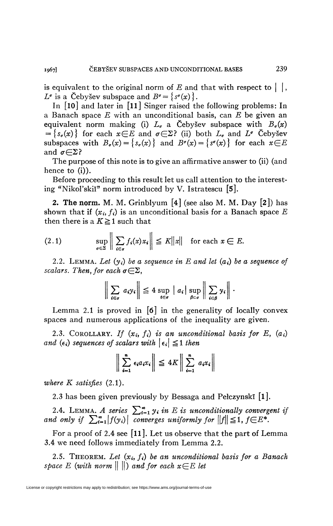is equivalent to the original norm of  $E$  and that with respect to  $\vert \ \vert$ ,  $L^{\sigma}$  is a Čebyšev subspace and  $B^{\sigma} = \{s^{\sigma}(x)\}.$ 

In [lO] and later in **[il]** Singer raised the following problems: In a Banach space *E* with an unconditional basis, can *E* be given an equivalent norm making (i)  $L_{\sigma}$  a Čebyšev subspace with  $B_{\sigma}(x)$  $=\{s_{\sigma}(x)\}\)$  for each  $x \in E$  and  $\sigma \in \Sigma$ ? (ii) both  $L_{\sigma}$  and  $L^{\sigma}$  Cebysev subspaces with  $B_{\sigma}(x) = \{s_{\sigma}(x)\}\$  and  $B^{\sigma}(x) = \{s^{\sigma}(x)\}\$  for each  $x \in E$ and  $\sigma \in \Sigma$ ?

The purpose of this note is to give an affirmative answer to (ii) (and hence to (i)).

Before proceeding to this result let us call attention to the interesting "Nikol'skiï" norm introduced by V. Istratescu **[5].** 

**2. The norm.** M. M. Grinblyum [4] (see also M. M. Day **[2])** has shown that if  $(x_i, f_i)$  is an unconditional basis for a Banach space E then there is a  $K \geq 1$  such that

$$
(2.1) \quad \sup_{\sigma \in \Sigma} \left\| \sum_{i \in \sigma} f_i(x) x_i \right\| \leq K \|x\| \quad \text{for each } x \in E.
$$

2.2. LEMMA. Let  $(y_i)$  be a sequence in E and let  $(a_i)$  be a sequence of *scalars. Then, for each*  $\sigma \in \Sigma$ ,

$$
\left\|\sum_{i\in\sigma} a_i y_i\right\| \leq 4 \sup_{i\in\sigma} |a_i| \sup_{\beta\in\sigma} \left\|\sum_{i\in\beta} y_i\right\|.
$$

Lemma 2.1 is proved in  $\lceil 6 \rceil$  in the generality of locally convex spaces and numerous applications of the inequality are given.

2.3. COROLLARY. If  $(x_i, f_i)$  is an unconditional basis for  $E$ ,  $(a_i)$ *and* ( $\epsilon_i$ ) sequences of scalars with  $|\epsilon_i| \leq 1$  then

$$
\left\| \sum_{i=1}^n \epsilon_i a_i x_i \right\| \leq 4K \left\| \sum_{i=1}^n a_i x_i \right\|
$$

*where K satisfies* (2.1).

2.3 has been given previously by Bessaga and Pelczynskï **[l].** 

2.4. LEMMA. A series  $\sum_{i=1}^{\infty} y_i$  in E is unconditionally convergent if *and only if*  $\sum_{i=1}^{\infty} |f(y_i)|$  *converges uniformly for*  $||f|| \leq 1$ ,  $f \in E^*$ .

For a proof of 2.4 see **[ll].** Let us observe that the part of Lemma 3.4 we need follows immediately from Lemma 2.2.

2.5. THEOREM. Let  $(x_i, f_i)$  be an unconditional basis for a Banach *space E (with norm*  $|| \ ||$ ) and for each  $x \in E$  let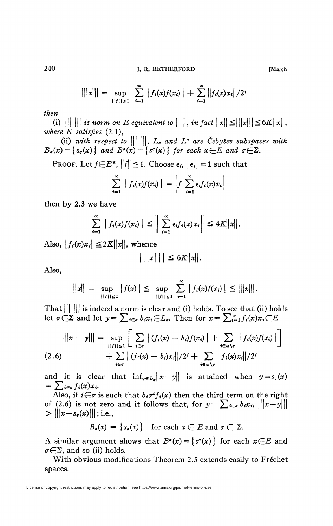240 J. R. RETHERFORD **[March** 

$$
|||x||| = \sup_{||f|| \leq 1} \sum_{i=1}^{\infty} |f_i(x)f(x_i)| + \sum_{i=1}^{\infty} ||f_i(x)x_i||/2^i
$$

## *then*

(i)  $||| |||$  *is norm on E equivalent to*  $|| ||$ , *in fact*  $||x|| \leq |||x|| | \leq 6K||x||$ , where  $K$  satisfies  $(2.1)$ ,

(ii) with respect to  $\|\|\ \|$ ,  $L_{\sigma}$  and  $L^{\sigma}$  are CebySev subspaces with  $B_{\sigma}(x) = \{s_{\sigma}(x)\}\$ and  $B^{\sigma}(x) = \{s^{\sigma}(x)\}\$ for each  $x \in E$  and  $\sigma \in \Sigma$ .

**PROOF.** Let  $f \in E^*$ ,  $||f|| \leq 1$ . Choose  $\epsilon_i$ ,  $|\epsilon_i| = 1$  such that

$$
\sum_{i=1}^{\infty} |f_i(x)f(x_i)| = \left|f \sum_{i=1}^{\infty} \epsilon_i f_i(x)x_i\right|
$$

then by 2.3 we have

$$
\sum_{i=1}^{\infty} |f_i(x)f(x_i)| \leq \bigg\|\sum_{i=1}^{\infty} \epsilon_i f_i(x)x_i\bigg\| \leq 4K||x||.
$$

Also,  $||f_i(x)x_i|| \leq 2K||x||$ , whence

$$
|||x||| \leq 6K||x||.
$$

Also,

$$
||x|| = \sup_{||f|| \le 1} |f(x)| \le \sup_{||f|| \le 1} \sum_{i=1}^{\infty} |f_i(x)f(x_i)| \le |||x|||.
$$

That  $||| \cdot |||$  is indeed a norm is clear and (i) holds. To see that (ii) holds let  $\sigma \in \Sigma$  and let  $y = \sum_{i \in \sigma} b_i x_i \in L_\sigma$ . Then for  $x = \sum_{i=1}^{\infty} f_i(x) x_i \in E$ 

$$
|||x-y||| = \sup_{\substack{\mathbf{i}|f||\leq 1\\ \mathbf{i}\in\sigma}} \left[ \sum_{i\in\sigma} |(f_i(x)-b_i)f(x_i)| + \sum_{i\in\omega\setminus\sigma} |f_i(x)f(x_i)| \right]
$$
  
(2.6) 
$$
+ \sum_{i\in\sigma} ||(f_i(x)-b_i)x_i||/2^i + \sum_{i\in\omega\setminus\sigma} ||f_i(x)x_i||/2^i
$$

and it is clear that  $\inf_{y \in L_q} ||x-y||$  is attained when  $y = s_q(x)$  $=\sum_{i\in\sigma} f_i(x)x_i.$ 

Also, if  $i \in \sigma$  is such that  $b_i \neq f_i(x)$  then the third term on the right of (2.6) is not zero and it follows that, for  $y = \sum_{i \in \sigma} b_i x_i$ ,  $|||x-y|||$  $> \|\|x-s_{\bullet}(x)\|\|;$  i.e.,

 $B_{\sigma}(x) = \{s_{\sigma}(x)\}\$  for each  $x \in E$  and  $\sigma \in \Sigma$ .

A similar argument shows that  $B^{\sigma}(x) = \{s^{\sigma}(x)\}\)$  for each  $x \in E$  and  $\sigma \in \Sigma$ , and so (ii) holds.

With obvious modifications Theorem 2.5 extends easily to Fréchet spaces.